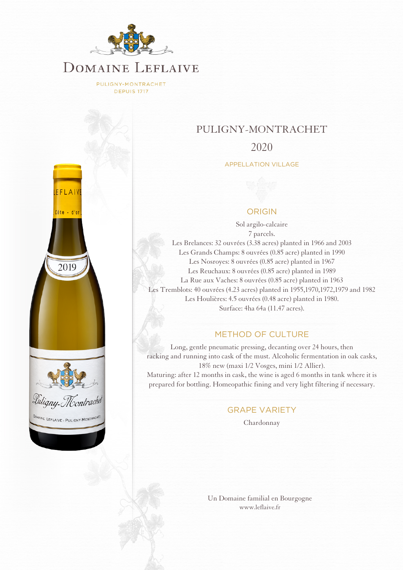

PULIGNY-MONTRACHET **DEPUIS 1717** 



## PULIGNY-MONTRACHET

### 2020

APPELLATION VILLAGE

#### ORIGIN

Sol argilo-calcaire 7 parcels. Les Brelances: 32 ouvrées (3.38 acres) planted in 1966 and 2003 Les Grands Champs: 8 ouvrées (0.85 acre) planted in 1990 Les Nosroyes: 8 ouvrées (0.85 acre) planted in 1967 Les Reuchaux: 8 ouvrées (0.85 acre) planted in 1989 La Rue aux Vaches: 8 ouvrées (0.85 acre) planted in 1963 Les Tremblots: 40 ouvrées (4.23 acres) planted in 1955,1970,1972,1979 and 1982 Les Houlières: 4.5 ouvrées (0.48 acre) planted in 1980. Surface: 4ha 64a (11.47 acres).

### METHOD OF CULTURE

Long, gentle pneumatic pressing, decanting over 24 hours, then racking and running into cask of the must. Alcoholic fermentation in oak casks, 18% new (maxi 1/2 Vosges, mini 1/2 Allier). Maturing: after 12 months in cask, the wine is aged 6 months in tank where it is prepared for bottling. Homeopathic fining and very light filtering if necessary.

#### GRAPE VARIETY

Chardonnay

[Un Domaine familial en Bourgogne](http://www.leflaive.fr) [www.leflaive.fr](http://www.leflaive.fr)